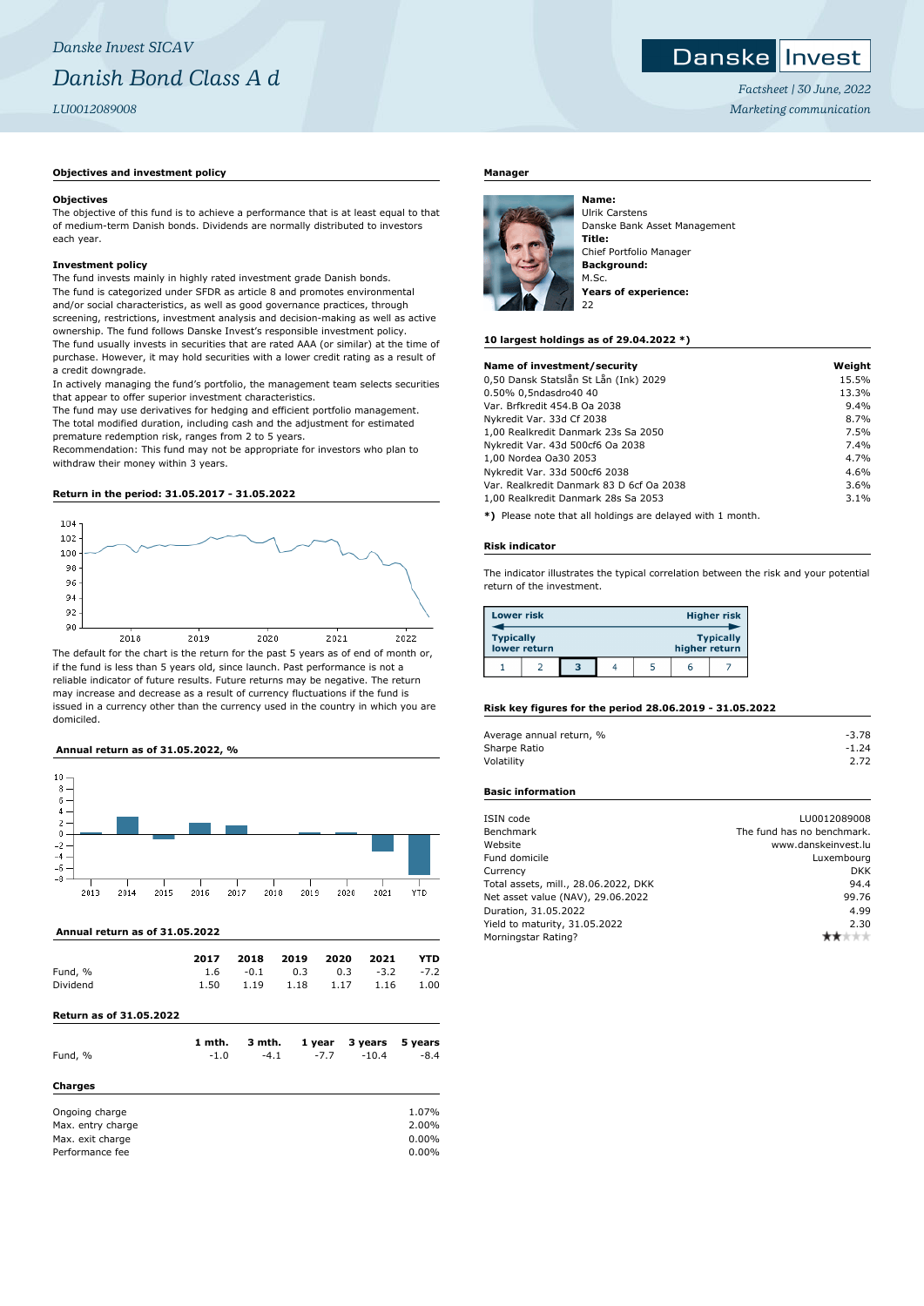## *Danske Invest SICAV Danish Bond Class A d LU0012089008*

#### **Objectives and investment policy**

#### **Objectives**

The objective of this fund is to achieve a performance that is at least equal to that of medium-term Danish bonds. Dividends are normally distributed to investors each year.

#### **Investment policy**

The fund invests mainly in highly rated investment grade Danish bonds. The fund is categorized under SFDR as article 8 and promotes environmental and/or social characteristics, as well as good governance practices, through screening, restrictions, investment analysis and decision-making as well as active ownership. The fund follows Danske Invest's responsible investment policy. The fund usually invests in securities that are rated AAA (or similar) at the time of purchase. However, it may hold securities with a lower credit rating as a result of a credit downgrade.

In actively managing the fund's portfolio, the management team selects securities that appear to offer superior investment characteristics.

The fund may use derivatives for hedging and efficient portfolio management. The total modified duration, including cash and the adjustment for estimated premature redemption risk, ranges from 2 to 5 years.

Recommendation: This fund may not be appropriate for investors who plan to withdraw their money within 3 years.

#### **Return in the period: 31.05.2017 - 31.05.2022**



The default for the chart is the return for the past 5 years as of end of month or, if the fund is less than 5 years old, since launch. Past performance is not a reliable indicator of future results. Future returns may be negative. The return may increase and decrease as a result of currency fluctuations if the fund is issued in a currency other than the currency used in the country in which you are domiciled.

#### **Annual return as of 31.05.2022, %**



 **Annual return as of 31.05.2022**

|          | 2017 |             | 2018 2019 2020 2021 |                           | <b>YTD</b> |
|----------|------|-------------|---------------------|---------------------------|------------|
| Fund, %  |      | $1.6 - 0.1$ |                     | $0.3$ $0.3$ $-3.2$ $-7.2$ |            |
| Dividend | 1.50 |             |                     | 1.19 1.18 1.17 1.16 1.00  |            |

### **Return as of 31.05.2022**

| Fund, %                                                                    | 1 mth.<br>$-1.0$ | 3 mth.<br>$-4.1$ | 1 year<br>$-7.7$ | 3 years<br>$-10.4$ | 5 years<br>$-8.4$                |
|----------------------------------------------------------------------------|------------------|------------------|------------------|--------------------|----------------------------------|
| Charges                                                                    |                  |                  |                  |                    |                                  |
| Ongoing charge<br>Max. entry charge<br>Max. exit charge<br>Performance fee |                  |                  |                  |                    | 1.07%<br>2.00%<br>0.00%<br>0.00% |

#### **Manager**



Ulrik Carstens Danske Bank Asset Management **Title:** Chief Portfolio Manager **Background:** M.Sc. **Years of experience:** 22

#### **10 largest holdings as of 29.04.2022 \*)**

| Name of investment/security              | Weight |
|------------------------------------------|--------|
| 0,50 Dansk Statslån St Lån (Ink) 2029    | 15.5%  |
| 0.50% 0,5ndasdro40 40                    | 13.3%  |
| Var. Brfkredit 454.B Oa 2038             | 9.4%   |
| Nykredit Var. 33d Cf 2038                | 8.7%   |
| 1,00 Realkredit Danmark 23s Sa 2050      | 7.5%   |
| Nykredit Var. 43d 500cf6 Oa 2038         | 7.4%   |
| 1,00 Nordea Oa30 2053                    | 4.7%   |
| Nykredit Var. 33d 500cf6 2038            | 4.6%   |
| Var. Realkredit Danmark 83 D 6cf Oa 2038 | 3.6%   |
| 1,00 Realkredit Danmark 28s Sa 2053      | 3.1%   |
|                                          |        |

**\*)** Please note that all holdings are delayed with 1 month.

#### **Risk indicator**

The indicator illustrates the typical correlation between the risk and your potential return of the investment.

| <b>Lower risk</b> |              |   |  |               | <b>Higher risk</b> |
|-------------------|--------------|---|--|---------------|--------------------|
| <b>Typically</b>  | lower return |   |  | higher return | <b>Typically</b>   |
|                   |              | 3 |  | ь             |                    |

#### **Risk key figures for the period 28.06.2019 - 31.05.2022**

| Average annual return, % | $-3.78$ |
|--------------------------|---------|
| Sharpe Ratio             | $-1.24$ |
| Volatility               | 2.72    |

#### **Basic information**

| ISIN code                            | LU0012089008               |
|--------------------------------------|----------------------------|
| Benchmark                            | The fund has no benchmark. |
| Website                              | www.danskeinvest.lu        |
| Fund domicile                        | Luxembourg                 |
| Currency                             | <b>DKK</b>                 |
| Total assets, mill., 28.06.2022, DKK | 94.4                       |
| Net asset value (NAV), 29.06.2022    | 99.76                      |
| Duration, 31.05.2022                 | 4.99                       |
| Yield to maturity, 31.05.2022        | 2.30                       |
| Morningstar Rating?                  |                            |
|                                      |                            |



*Factsheet | 30 June, 2022 Marketing communication*